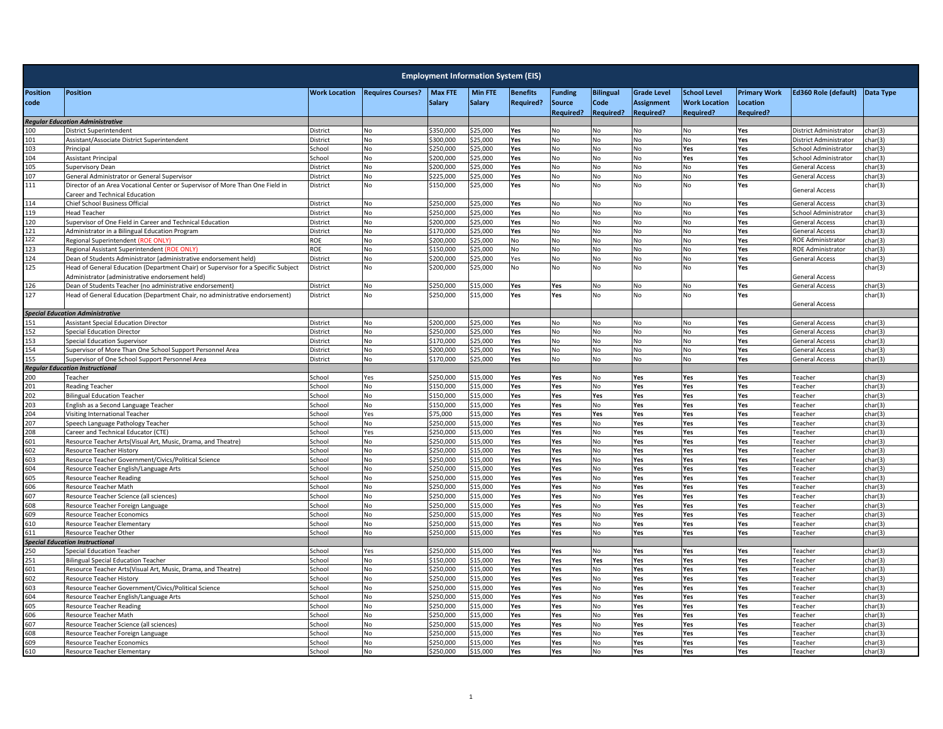| <b>Work Location</b><br><b>Max FTE</b><br><b>Min FTE</b><br><b>School Level</b><br><b>Primary Work</b><br><b>Ed360 Role (default)</b><br><b>Position</b><br><b>Position</b><br><b>Requires Courses?</b><br><b>Funding</b><br><b>Bilingual</b><br><b>Grade Level</b><br>Data Type<br><b>Benefits</b><br>Salary<br><b>Salary</b><br><b>Required?</b><br>Code<br>code<br>Source<br><b>Assignment</b><br><b>Work Location</b><br>Location<br>Required?<br><b>Required?</b><br><b>Required?</b><br><b>Required?</b><br><b>Required?</b><br><b>Regular Education Administrative</b><br><b>District Superintendent</b><br>\$350,000<br>\$25,000<br>No<br>No<br>Yes<br>District Administrator<br>char(3)<br>100<br>District<br>No<br>Yes<br>No<br>No<br>101<br>\$300,000<br>\$25,000<br>Assistant/Associate District Superintendent<br>District<br>No<br>Yes<br>No<br>No<br>No<br>No<br>Yes<br>District Administrator<br>char(3)<br>103<br>\$250,000<br>School<br>No<br>25,000<br>Yes<br>No<br>No<br>No<br>Yes<br>Principal<br>Yes<br>School Administrator<br>char(3)<br>104<br>\$200,000<br>\$25,000<br>No<br>No<br>Yes<br>Yes<br>School Administrator<br><b>Assistant Principal</b><br>School<br>No<br>Yes<br>No<br>char(3)<br>105<br>\$200,000<br>\$25,000<br>No<br>Yes<br>No<br>Yes<br>No<br>No<br><b>General Access</b><br>char(3)<br><b>Supervisory Dean</b><br>District<br>No<br>107<br><b>No</b><br>General Administrator or General Supervisor<br>District<br>No<br>\$225.000<br>\$25,000<br>Yes<br>No<br>No<br><b>No</b><br>Yes<br><b>General Access</b><br>char(3)<br>111<br>Director of an Area Vocational Center or Supervisor of More Than One Field in<br>District<br>No<br>\$150,000<br>\$25,000<br>Yes<br>No<br>No<br>No<br>Yes<br>char(3)<br>No<br><b>General Access</b><br>Career and Technical Education<br><b>Chief School Business Official</b><br>\$250.000<br>\$25,000<br>No<br>114<br>District<br><b>No</b><br>Yes<br>No<br>No<br><b>No</b><br>Yes<br><b>General Access</b><br>char(3)<br>119<br>No<br>\$250,000<br>25,000<br>No<br>District<br>Yes<br>No<br>No<br>Yes<br>School Administrator<br>char(3)<br><b>Head Teacher</b><br>No<br>No<br>120<br>Supervisor of One Field in Career and Technical Education<br>District<br>No<br>\$200,000<br>\$25,000<br>Yes<br>No<br>No<br>Yes<br><b>General Access</b><br>char(3)<br>No<br>121<br>\$25,000<br>Administrator in a Bilingual Education Program<br>District<br>No<br>\$170,000<br>Yes<br>No<br>No<br>No<br>No<br>Yes<br><b>General Access</b><br>char(3)<br>122<br><b>ROE</b><br>\$200,000<br>\$25,000<br>No<br><b>ROE Administrator</b><br>No<br>No<br>No<br>No<br>Yes<br>char(3)<br>Regional Superintendent (ROE ONLY)<br>No<br>123<br>ROE<br>No<br>\$150,000<br>\$25,000<br>No<br>No<br>No<br>No<br>Yes<br>char(3)<br>Regional Assistant Superintendent (ROE ONLY)<br>No<br><b>ROE Administrator</b><br>124<br>\$200,000<br>General Access<br>Dean of Students Administrator (administrative endorsement held)<br>District<br>No<br>\$25,000<br>Yes<br>No<br>No<br>No<br>No<br>Yes<br>char(3)<br>125<br>Head of General Education (Department Chair) or Supervisor for a Specific Subject<br>District<br>No<br>\$200,000<br>\$25,000<br>No<br>No<br>No<br>No<br><b>No</b><br>Yes<br>char(3)<br>Administrator (administrative endorsement held)<br>General Access<br>\$250,000<br>126<br>Dean of Students Teacher (no administrative endorsement)<br>\$15,000<br>Yes<br>No<br>char(3)<br>District<br>No<br>Yes<br>No<br>No<br>Yes<br>General Access<br>127<br>Head of General Education (Department Chair, no administrative endorsement)<br>District<br><b>No</b><br>\$250,000<br>\$15,000<br>Yes<br>Yes<br>No<br>No<br>No<br>Yes<br>char(3)<br><b>General Access</b><br><b>Special Education Administrative</b><br>\$25,000<br><b>Assistant Special Education Director</b><br>District<br>No<br>\$200.000<br>Yes<br>No<br>No<br>Yes<br><b>General Access</b><br>char(3)<br>51<br>No<br>No<br>\$250,000<br>152<br>District<br>No<br>25,000<br>Yes<br>No<br>No<br><b>Special Education Director</b><br>No<br>No<br>Yes<br><b>General Access</b><br>char(3)<br>153<br>\$170,000<br>No<br>No<br>char(3)<br>Special Education Supervisor<br>District<br>No<br>\$25,000<br>Yes<br>No<br>No<br>Yes<br><b>General Access</b><br>154<br>Supervisor of More Than One School Support Personnel Area<br>District<br>No<br>\$200,000<br>\$25,000<br>Yes<br>No<br>No<br>No<br>No<br>Yes<br><b>General Access</b><br>char(3)<br>155<br>Supervisor of One School Support Personnel Area<br>District<br><b>No</b><br>\$170,000<br>\$25,000<br>Yes<br><b>No</b><br>No<br>No<br><b>No</b><br>Yes<br>char(3)<br><b>General Access</b><br><b>Regular Education Instructional</b><br>200<br>Teacher<br>\$250,000<br>\$15,000<br>School<br>Yes<br>Yes<br>No<br>Yes<br>Yes<br>Yes<br>char(3)<br>Yes<br>Teacher<br>\$150,000<br>201<br><b>Reading Teacher</b><br>School<br><b>No</b><br>\$15.000<br>Yes<br>Yes<br>No<br>Yes<br>Yes<br>Yes<br>Teacher<br>char(3)<br>202<br>\$150,000<br><b>Bilingual Education Teacher</b><br>School<br>No<br>\$15,000<br>Yes<br>Yes<br>Yes<br>Yes<br>Yes<br>Yes<br>char(3)<br>Teacher<br>203<br>\$150.000<br>\$15,000<br>Yes<br>Yes<br>Yes<br>char(3)<br>English as a Second Language Teacher<br>School<br><b>No</b><br>Yes<br>No<br>Yes<br>Teacher<br>204<br>Visiting International Teacher<br>School<br>Yes<br>\$75,000<br>\$15,000<br>Yes<br>Yes<br>Yes<br>Yes<br>Yes<br>Yes<br>Teacher<br>char(3)<br>207<br>\$250,000<br>\$15,000<br>Yes<br>Yes<br>Speech Language Pathology Teacher<br>School<br>No<br>Yes<br>No<br>Yes<br>Yes<br>Teacher<br>char(3)<br>208<br>\$250,000<br>\$15,000<br>Yes<br>No<br>Yes<br>Yes<br>char(3)<br>Career and Technical Educator (CTE)<br>School<br>Yes<br>Yes<br>Yes<br>Teacher<br>601<br>\$250,000<br>Yes<br>Resource Teacher Arts(Visual Art, Music, Drama, and Theatre)<br>School<br>No<br>\$15,000<br>Yes<br>No<br>Yes<br>Yes<br>Yes<br><b>Teacher</b><br>char(3)<br>602<br>School<br>No<br>\$250,000<br>\$15,000<br>Yes<br>Yes<br>No<br>Yes<br>Yes<br>Yes<br>Teacher<br>char(3)<br>Resource Teacher History<br>603<br>Resource Teacher Government/Civics/Political Science<br>\$250,000<br>\$15,000<br>Yes<br>chool<br>No<br>Yes<br>Yes<br>No<br>Yes<br>Yes<br><b>Teacher</b><br>char(3)<br>604<br>\$250,000<br>\$15,000<br>Yes<br>Yes<br>Yes<br>Yes<br>char(3)<br>Resource Teacher English/Language Arts<br>School<br>No<br>Yes<br>No<br>Teacher<br>605<br>\$250,000<br>\$15,000<br>Yes<br>char(3)<br>Resource Teacher Reading<br>School<br>No<br>Yes<br>No<br>Yes<br>Yes<br>Yes<br>Teacher<br>606<br>\$250,000<br>\$15,000<br>chool<br>No<br>Yes<br>No<br>Yes<br>Yes<br>Yes<br>Resource Teacher Math<br>Yes<br>eacher<br>char(3)<br>607<br>\$250.000<br>Yes<br>Resource Teacher Science (all sciences)<br>School<br><b>No</b><br>\$15.000<br>Yes<br>No<br>Yes<br>Yes<br>Yes<br>Teacher<br>char(3)<br>608<br>\$250,000<br>Resource Teacher Foreign Language<br>School<br>No<br>\$15,000<br>Yes<br>Yes<br>No<br>Yes<br>Yes<br>Yes<br>Teacher<br>char(3)<br>609<br>School<br>\$250,000<br>\$15,000<br>Yes<br>No<br>Yes<br>Resource Teacher Economics<br>No<br>Yes<br>Yes<br>Yes<br>Teacher<br>char(3)<br>610<br>\$250.000<br>Yes<br>No.<br>Yes<br>Yes<br><b>Resource Teacher Elementary</b><br>School<br><b>No</b><br>\$15.000<br>Yes<br>Yes<br>Teacher<br>char(3)<br>611<br>\$250,000<br>\$15,000<br>Yes<br>Yes<br>Yes<br>Yes<br>Yes<br>Resource Teacher Other<br>School<br>No<br>No<br>Teacher<br>char(3)<br><b>Special Education Instructional</b><br>\$250,000<br>\$15,000<br>Yes<br>:50<br><b>Special Education Teacher</b><br>chool<br>Yes<br>Yes<br>Yes<br>No<br>Yes<br>Yes<br>Teacher<br>char(3)<br>\$150,000<br>251<br>School<br>\$15,000<br>Yes<br>Yes<br>Yes<br>char(3)<br><b>Bilingual Special Education Teacher</b><br>No<br>Yes<br>Yes<br>Yes<br>Teacher<br>601<br>Resource Teacher Arts(Visual Art, Music, Drama, and Theatre)<br>School<br>\$250,000<br>\$15,000<br>Yes<br>Yes<br>No<br>Yes<br>No<br>Yes<br>Yes<br>Teacher<br>char(3)<br>602<br>\$250,000<br>No<br>15,000<br>Yes<br>No<br>Yes<br>Yes<br>Resource Teacher History<br>chool<br>Yes<br>Yes<br>Teacher<br>char(3)<br>603<br>Resource Teacher Government/Civics/Political Science<br>School<br><b>No</b><br>\$250.000<br>\$15,000<br>Yes<br>Yes<br>No<br>Yes<br>Yes<br>Yes<br>Teacher<br>char(3)<br>604<br>Resource Teacher English/Language Arts<br>School<br>No<br>\$250,000<br>\$15,000<br>Yes<br>Yes<br>No<br>Yes<br>Yes<br>Yes<br>Teacher<br>char(3)<br>605<br>\$250,000<br>\$15,000<br>School<br>No<br>Yes<br>Yes<br>No<br>Yes<br>Yes<br>Yes<br><b>Teacher</b><br>char(3)<br><b>Resource Teacher Reading</b><br>606<br>\$250.000<br>\$15,000<br>Yes<br>No<br>Yes<br>Yes<br>Resource Teacher Math<br>School<br><b>No</b><br>Yes<br>Yes<br>Teacher<br>char(3)<br>607<br>\$250,000<br>Yes<br>Resource Teacher Science (all sciences)<br>School<br>No<br>\$15,000<br>Yes<br>Yes<br>No<br>Yes<br>Yes<br>Teacher<br>char(3)<br>608<br>School<br><b>No</b><br>\$250.000<br>\$15,000<br>Yes<br>Yes<br>No<br>Yes<br>Yes<br>Yes<br>Teacher<br>char(3)<br>Resource Teacher Foreign Language<br>609<br>\$250.000<br>Resource Teacher Economics<br>chool<br>No<br>\$15.000<br>Yes<br>Yes<br>No<br>Yes<br>Yes<br>Yes<br>Teacher<br>char(3)<br>610<br>\$250,000<br>\$15,000<br>Yes<br>Resource Teacher Elementary<br>School<br>Yes<br>Yes<br>No<br>Yes<br>Yes<br>Teacher<br>char(3)<br>No | <b>Employment Information System (EIS)</b> |  |  |  |  |  |  |  |  |  |  |  |  |
|-----------------------------------------------------------------------------------------------------------------------------------------------------------------------------------------------------------------------------------------------------------------------------------------------------------------------------------------------------------------------------------------------------------------------------------------------------------------------------------------------------------------------------------------------------------------------------------------------------------------------------------------------------------------------------------------------------------------------------------------------------------------------------------------------------------------------------------------------------------------------------------------------------------------------------------------------------------------------------------------------------------------------------------------------------------------------------------------------------------------------------------------------------------------------------------------------------------------------------------------------------------------------------------------------------------------------------------------------------------------------------------------------------------------------------------------------------------------------------------------------------------------------------------------------------------------------------------------------------------------------------------------------------------------------------------------------------------------------------------------------------------------------------------------------------------------------------------------------------------------------------------------------------------------------------------------------------------------------------------------------------------------------------------------------------------------------------------------------------------------------------------------------------------------------------------------------------------------------------------------------------------------------------------------------------------------------------------------------------------------------------------------------------------------------------------------------------------------------------------------------------------------------------------------------------------------------------------------------------------------------------------------------------------------------------------------------------------------------------------------------------------------------------------------------------------------------------------------------------------------------------------------------------------------------------------------------------------------------------------------------------------------------------------------------------------------------------------------------------------------------------------------------------------------------------------------------------------------------------------------------------------------------------------------------------------------------------------------------------------------------------------------------------------------------------------------------------------------------------------------------------------------------------------------------------------------------------------------------------------------------------------------------------------------------------------------------------------------------------------------------------------------------------------------------------------------------------------------------------------------------------------------------------------------------------------------------------------------------------------------------------------------------------------------------------------------------------------------------------------------------------------------------------------------------------------------------------------------------------------------------------------------------------------------------------------------------------------------------------------------------------------------------------------------------------------------------------------------------------------------------------------------------------------------------------------------------------------------------------------------------------------------------------------------------------------------------------------------------------------------------------------------------------------------------------------------------------------------------------------------------------------------------------------------------------------------------------------------------------------------------------------------------------------------------------------------------------------------------------------------------------------------------------------------------------------------------------------------------------------------------------------------------------------------------------------------------------------------------------------------------------------------------------------------------------------------------------------------------------------------------------------------------------------------------------------------------------------------------------------------------------------------------------------------------------------------------------------------------------------------------------------------------------------------------------------------------------------------------------------------------------------------------------------------------------------------------------------------------------------------------------------------------------------------------------------------------------------------------------------------------------------------------------------------------------------------------------------------------------------------------------------------------------------------------------------------------------------------------------------------------------------------------------------------------------------------------------------------------------------------------------------------------------------------------------------------------------------------------------------------------------------------------------------------------------------------------------------------------------------------------------------------------------------------------------------------------------------------------------------------------------------------------------------------------------------------------------------------------------------------------------------------------------------------------------------------------------------------------------------------------------------------------------------------------------------------------------------------------------------------------------------------------------------------------------------------------------------------------------------------------------------------------------------------------------------------------------------------------------------------------------------------------------------------------------------------------------------------------------------------------------------------------------------------------------------------------------------------------------------------------------------------------------------------------------------------------------------------------------------------------------------------------------------------------------------------------------------------------------------------------------------------------------------------------------------------------------------------------------------------------------------------------------------------------------------------------------------------------------------------------------------------------------------------------------------------------------------------------------------------------------------------------------------------------------------------------------------------------------------------------------------------------------------------------------------------------------------------------------------------------------------------------------------------------------------------------------------------------------------------------------------------------------------------------------------------------------------------------------------------------------------------------------------------------------------------------------------------------------------------------------------------------------------------------------------------------------------------------------------------------------------------------------------------------------------------------------------------------------------------------------------------------------------------------------------------------------------------------------------------------------------------------------------------------------------------------------------------------------------|--------------------------------------------|--|--|--|--|--|--|--|--|--|--|--|--|
|                                                                                                                                                                                                                                                                                                                                                                                                                                                                                                                                                                                                                                                                                                                                                                                                                                                                                                                                                                                                                                                                                                                                                                                                                                                                                                                                                                                                                                                                                                                                                                                                                                                                                                                                                                                                                                                                                                                                                                                                                                                                                                                                                                                                                                                                                                                                                                                                                                                                                                                                                                                                                                                                                                                                                                                                                                                                                                                                                                                                                                                                                                                                                                                                                                                                                                                                                                                                                                                                                                                                                                                                                                                                                                                                                                                                                                                                                                                                                                                                                                                                                                                                                                                                                                                                                                                                                                                                                                                                                                                                                                                                                                                                                                                                                                                                                                                                                                                                                                                                                                                                                                                                                                                                                                                                                                                                                                                                                                                                                                                                                                                                                                                                                                                                                                                                                                                                                                                                                                                                                                                                                                                                                                                                                                                                                                                                                                                                                                                                                                                                                                                                                                                                                                                                                                                                                                                                                                                                                                                                                                                                                                                                                                                                                                                                                                                                                                                                                                                                                                                                                                                                                                                                                                                                                                                                                                                                                                                                                                                                                                                                                                                                                                                                                                                                                                                                                                                                                                                                                                                                                                                                                                                                                                                                                                                                                                                                                                                                                                                                                                                                                                                                                                                                                                                                                                                                                                                                                                                                                   |                                            |  |  |  |  |  |  |  |  |  |  |  |  |
|                                                                                                                                                                                                                                                                                                                                                                                                                                                                                                                                                                                                                                                                                                                                                                                                                                                                                                                                                                                                                                                                                                                                                                                                                                                                                                                                                                                                                                                                                                                                                                                                                                                                                                                                                                                                                                                                                                                                                                                                                                                                                                                                                                                                                                                                                                                                                                                                                                                                                                                                                                                                                                                                                                                                                                                                                                                                                                                                                                                                                                                                                                                                                                                                                                                                                                                                                                                                                                                                                                                                                                                                                                                                                                                                                                                                                                                                                                                                                                                                                                                                                                                                                                                                                                                                                                                                                                                                                                                                                                                                                                                                                                                                                                                                                                                                                                                                                                                                                                                                                                                                                                                                                                                                                                                                                                                                                                                                                                                                                                                                                                                                                                                                                                                                                                                                                                                                                                                                                                                                                                                                                                                                                                                                                                                                                                                                                                                                                                                                                                                                                                                                                                                                                                                                                                                                                                                                                                                                                                                                                                                                                                                                                                                                                                                                                                                                                                                                                                                                                                                                                                                                                                                                                                                                                                                                                                                                                                                                                                                                                                                                                                                                                                                                                                                                                                                                                                                                                                                                                                                                                                                                                                                                                                                                                                                                                                                                                                                                                                                                                                                                                                                                                                                                                                                                                                                                                                                                                                                                                   |                                            |  |  |  |  |  |  |  |  |  |  |  |  |
|                                                                                                                                                                                                                                                                                                                                                                                                                                                                                                                                                                                                                                                                                                                                                                                                                                                                                                                                                                                                                                                                                                                                                                                                                                                                                                                                                                                                                                                                                                                                                                                                                                                                                                                                                                                                                                                                                                                                                                                                                                                                                                                                                                                                                                                                                                                                                                                                                                                                                                                                                                                                                                                                                                                                                                                                                                                                                                                                                                                                                                                                                                                                                                                                                                                                                                                                                                                                                                                                                                                                                                                                                                                                                                                                                                                                                                                                                                                                                                                                                                                                                                                                                                                                                                                                                                                                                                                                                                                                                                                                                                                                                                                                                                                                                                                                                                                                                                                                                                                                                                                                                                                                                                                                                                                                                                                                                                                                                                                                                                                                                                                                                                                                                                                                                                                                                                                                                                                                                                                                                                                                                                                                                                                                                                                                                                                                                                                                                                                                                                                                                                                                                                                                                                                                                                                                                                                                                                                                                                                                                                                                                                                                                                                                                                                                                                                                                                                                                                                                                                                                                                                                                                                                                                                                                                                                                                                                                                                                                                                                                                                                                                                                                                                                                                                                                                                                                                                                                                                                                                                                                                                                                                                                                                                                                                                                                                                                                                                                                                                                                                                                                                                                                                                                                                                                                                                                                                                                                                                                                   |                                            |  |  |  |  |  |  |  |  |  |  |  |  |
|                                                                                                                                                                                                                                                                                                                                                                                                                                                                                                                                                                                                                                                                                                                                                                                                                                                                                                                                                                                                                                                                                                                                                                                                                                                                                                                                                                                                                                                                                                                                                                                                                                                                                                                                                                                                                                                                                                                                                                                                                                                                                                                                                                                                                                                                                                                                                                                                                                                                                                                                                                                                                                                                                                                                                                                                                                                                                                                                                                                                                                                                                                                                                                                                                                                                                                                                                                                                                                                                                                                                                                                                                                                                                                                                                                                                                                                                                                                                                                                                                                                                                                                                                                                                                                                                                                                                                                                                                                                                                                                                                                                                                                                                                                                                                                                                                                                                                                                                                                                                                                                                                                                                                                                                                                                                                                                                                                                                                                                                                                                                                                                                                                                                                                                                                                                                                                                                                                                                                                                                                                                                                                                                                                                                                                                                                                                                                                                                                                                                                                                                                                                                                                                                                                                                                                                                                                                                                                                                                                                                                                                                                                                                                                                                                                                                                                                                                                                                                                                                                                                                                                                                                                                                                                                                                                                                                                                                                                                                                                                                                                                                                                                                                                                                                                                                                                                                                                                                                                                                                                                                                                                                                                                                                                                                                                                                                                                                                                                                                                                                                                                                                                                                                                                                                                                                                                                                                                                                                                                                                   |                                            |  |  |  |  |  |  |  |  |  |  |  |  |
|                                                                                                                                                                                                                                                                                                                                                                                                                                                                                                                                                                                                                                                                                                                                                                                                                                                                                                                                                                                                                                                                                                                                                                                                                                                                                                                                                                                                                                                                                                                                                                                                                                                                                                                                                                                                                                                                                                                                                                                                                                                                                                                                                                                                                                                                                                                                                                                                                                                                                                                                                                                                                                                                                                                                                                                                                                                                                                                                                                                                                                                                                                                                                                                                                                                                                                                                                                                                                                                                                                                                                                                                                                                                                                                                                                                                                                                                                                                                                                                                                                                                                                                                                                                                                                                                                                                                                                                                                                                                                                                                                                                                                                                                                                                                                                                                                                                                                                                                                                                                                                                                                                                                                                                                                                                                                                                                                                                                                                                                                                                                                                                                                                                                                                                                                                                                                                                                                                                                                                                                                                                                                                                                                                                                                                                                                                                                                                                                                                                                                                                                                                                                                                                                                                                                                                                                                                                                                                                                                                                                                                                                                                                                                                                                                                                                                                                                                                                                                                                                                                                                                                                                                                                                                                                                                                                                                                                                                                                                                                                                                                                                                                                                                                                                                                                                                                                                                                                                                                                                                                                                                                                                                                                                                                                                                                                                                                                                                                                                                                                                                                                                                                                                                                                                                                                                                                                                                                                                                                                                                   |                                            |  |  |  |  |  |  |  |  |  |  |  |  |
|                                                                                                                                                                                                                                                                                                                                                                                                                                                                                                                                                                                                                                                                                                                                                                                                                                                                                                                                                                                                                                                                                                                                                                                                                                                                                                                                                                                                                                                                                                                                                                                                                                                                                                                                                                                                                                                                                                                                                                                                                                                                                                                                                                                                                                                                                                                                                                                                                                                                                                                                                                                                                                                                                                                                                                                                                                                                                                                                                                                                                                                                                                                                                                                                                                                                                                                                                                                                                                                                                                                                                                                                                                                                                                                                                                                                                                                                                                                                                                                                                                                                                                                                                                                                                                                                                                                                                                                                                                                                                                                                                                                                                                                                                                                                                                                                                                                                                                                                                                                                                                                                                                                                                                                                                                                                                                                                                                                                                                                                                                                                                                                                                                                                                                                                                                                                                                                                                                                                                                                                                                                                                                                                                                                                                                                                                                                                                                                                                                                                                                                                                                                                                                                                                                                                                                                                                                                                                                                                                                                                                                                                                                                                                                                                                                                                                                                                                                                                                                                                                                                                                                                                                                                                                                                                                                                                                                                                                                                                                                                                                                                                                                                                                                                                                                                                                                                                                                                                                                                                                                                                                                                                                                                                                                                                                                                                                                                                                                                                                                                                                                                                                                                                                                                                                                                                                                                                                                                                                                                                                   |                                            |  |  |  |  |  |  |  |  |  |  |  |  |
|                                                                                                                                                                                                                                                                                                                                                                                                                                                                                                                                                                                                                                                                                                                                                                                                                                                                                                                                                                                                                                                                                                                                                                                                                                                                                                                                                                                                                                                                                                                                                                                                                                                                                                                                                                                                                                                                                                                                                                                                                                                                                                                                                                                                                                                                                                                                                                                                                                                                                                                                                                                                                                                                                                                                                                                                                                                                                                                                                                                                                                                                                                                                                                                                                                                                                                                                                                                                                                                                                                                                                                                                                                                                                                                                                                                                                                                                                                                                                                                                                                                                                                                                                                                                                                                                                                                                                                                                                                                                                                                                                                                                                                                                                                                                                                                                                                                                                                                                                                                                                                                                                                                                                                                                                                                                                                                                                                                                                                                                                                                                                                                                                                                                                                                                                                                                                                                                                                                                                                                                                                                                                                                                                                                                                                                                                                                                                                                                                                                                                                                                                                                                                                                                                                                                                                                                                                                                                                                                                                                                                                                                                                                                                                                                                                                                                                                                                                                                                                                                                                                                                                                                                                                                                                                                                                                                                                                                                                                                                                                                                                                                                                                                                                                                                                                                                                                                                                                                                                                                                                                                                                                                                                                                                                                                                                                                                                                                                                                                                                                                                                                                                                                                                                                                                                                                                                                                                                                                                                                                                   |                                            |  |  |  |  |  |  |  |  |  |  |  |  |
|                                                                                                                                                                                                                                                                                                                                                                                                                                                                                                                                                                                                                                                                                                                                                                                                                                                                                                                                                                                                                                                                                                                                                                                                                                                                                                                                                                                                                                                                                                                                                                                                                                                                                                                                                                                                                                                                                                                                                                                                                                                                                                                                                                                                                                                                                                                                                                                                                                                                                                                                                                                                                                                                                                                                                                                                                                                                                                                                                                                                                                                                                                                                                                                                                                                                                                                                                                                                                                                                                                                                                                                                                                                                                                                                                                                                                                                                                                                                                                                                                                                                                                                                                                                                                                                                                                                                                                                                                                                                                                                                                                                                                                                                                                                                                                                                                                                                                                                                                                                                                                                                                                                                                                                                                                                                                                                                                                                                                                                                                                                                                                                                                                                                                                                                                                                                                                                                                                                                                                                                                                                                                                                                                                                                                                                                                                                                                                                                                                                                                                                                                                                                                                                                                                                                                                                                                                                                                                                                                                                                                                                                                                                                                                                                                                                                                                                                                                                                                                                                                                                                                                                                                                                                                                                                                                                                                                                                                                                                                                                                                                                                                                                                                                                                                                                                                                                                                                                                                                                                                                                                                                                                                                                                                                                                                                                                                                                                                                                                                                                                                                                                                                                                                                                                                                                                                                                                                                                                                                                                                   |                                            |  |  |  |  |  |  |  |  |  |  |  |  |
|                                                                                                                                                                                                                                                                                                                                                                                                                                                                                                                                                                                                                                                                                                                                                                                                                                                                                                                                                                                                                                                                                                                                                                                                                                                                                                                                                                                                                                                                                                                                                                                                                                                                                                                                                                                                                                                                                                                                                                                                                                                                                                                                                                                                                                                                                                                                                                                                                                                                                                                                                                                                                                                                                                                                                                                                                                                                                                                                                                                                                                                                                                                                                                                                                                                                                                                                                                                                                                                                                                                                                                                                                                                                                                                                                                                                                                                                                                                                                                                                                                                                                                                                                                                                                                                                                                                                                                                                                                                                                                                                                                                                                                                                                                                                                                                                                                                                                                                                                                                                                                                                                                                                                                                                                                                                                                                                                                                                                                                                                                                                                                                                                                                                                                                                                                                                                                                                                                                                                                                                                                                                                                                                                                                                                                                                                                                                                                                                                                                                                                                                                                                                                                                                                                                                                                                                                                                                                                                                                                                                                                                                                                                                                                                                                                                                                                                                                                                                                                                                                                                                                                                                                                                                                                                                                                                                                                                                                                                                                                                                                                                                                                                                                                                                                                                                                                                                                                                                                                                                                                                                                                                                                                                                                                                                                                                                                                                                                                                                                                                                                                                                                                                                                                                                                                                                                                                                                                                                                                                                                   |                                            |  |  |  |  |  |  |  |  |  |  |  |  |
|                                                                                                                                                                                                                                                                                                                                                                                                                                                                                                                                                                                                                                                                                                                                                                                                                                                                                                                                                                                                                                                                                                                                                                                                                                                                                                                                                                                                                                                                                                                                                                                                                                                                                                                                                                                                                                                                                                                                                                                                                                                                                                                                                                                                                                                                                                                                                                                                                                                                                                                                                                                                                                                                                                                                                                                                                                                                                                                                                                                                                                                                                                                                                                                                                                                                                                                                                                                                                                                                                                                                                                                                                                                                                                                                                                                                                                                                                                                                                                                                                                                                                                                                                                                                                                                                                                                                                                                                                                                                                                                                                                                                                                                                                                                                                                                                                                                                                                                                                                                                                                                                                                                                                                                                                                                                                                                                                                                                                                                                                                                                                                                                                                                                                                                                                                                                                                                                                                                                                                                                                                                                                                                                                                                                                                                                                                                                                                                                                                                                                                                                                                                                                                                                                                                                                                                                                                                                                                                                                                                                                                                                                                                                                                                                                                                                                                                                                                                                                                                                                                                                                                                                                                                                                                                                                                                                                                                                                                                                                                                                                                                                                                                                                                                                                                                                                                                                                                                                                                                                                                                                                                                                                                                                                                                                                                                                                                                                                                                                                                                                                                                                                                                                                                                                                                                                                                                                                                                                                                                                                   |                                            |  |  |  |  |  |  |  |  |  |  |  |  |
|                                                                                                                                                                                                                                                                                                                                                                                                                                                                                                                                                                                                                                                                                                                                                                                                                                                                                                                                                                                                                                                                                                                                                                                                                                                                                                                                                                                                                                                                                                                                                                                                                                                                                                                                                                                                                                                                                                                                                                                                                                                                                                                                                                                                                                                                                                                                                                                                                                                                                                                                                                                                                                                                                                                                                                                                                                                                                                                                                                                                                                                                                                                                                                                                                                                                                                                                                                                                                                                                                                                                                                                                                                                                                                                                                                                                                                                                                                                                                                                                                                                                                                                                                                                                                                                                                                                                                                                                                                                                                                                                                                                                                                                                                                                                                                                                                                                                                                                                                                                                                                                                                                                                                                                                                                                                                                                                                                                                                                                                                                                                                                                                                                                                                                                                                                                                                                                                                                                                                                                                                                                                                                                                                                                                                                                                                                                                                                                                                                                                                                                                                                                                                                                                                                                                                                                                                                                                                                                                                                                                                                                                                                                                                                                                                                                                                                                                                                                                                                                                                                                                                                                                                                                                                                                                                                                                                                                                                                                                                                                                                                                                                                                                                                                                                                                                                                                                                                                                                                                                                                                                                                                                                                                                                                                                                                                                                                                                                                                                                                                                                                                                                                                                                                                                                                                                                                                                                                                                                                                                                   |                                            |  |  |  |  |  |  |  |  |  |  |  |  |
|                                                                                                                                                                                                                                                                                                                                                                                                                                                                                                                                                                                                                                                                                                                                                                                                                                                                                                                                                                                                                                                                                                                                                                                                                                                                                                                                                                                                                                                                                                                                                                                                                                                                                                                                                                                                                                                                                                                                                                                                                                                                                                                                                                                                                                                                                                                                                                                                                                                                                                                                                                                                                                                                                                                                                                                                                                                                                                                                                                                                                                                                                                                                                                                                                                                                                                                                                                                                                                                                                                                                                                                                                                                                                                                                                                                                                                                                                                                                                                                                                                                                                                                                                                                                                                                                                                                                                                                                                                                                                                                                                                                                                                                                                                                                                                                                                                                                                                                                                                                                                                                                                                                                                                                                                                                                                                                                                                                                                                                                                                                                                                                                                                                                                                                                                                                                                                                                                                                                                                                                                                                                                                                                                                                                                                                                                                                                                                                                                                                                                                                                                                                                                                                                                                                                                                                                                                                                                                                                                                                                                                                                                                                                                                                                                                                                                                                                                                                                                                                                                                                                                                                                                                                                                                                                                                                                                                                                                                                                                                                                                                                                                                                                                                                                                                                                                                                                                                                                                                                                                                                                                                                                                                                                                                                                                                                                                                                                                                                                                                                                                                                                                                                                                                                                                                                                                                                                                                                                                                                                                   |                                            |  |  |  |  |  |  |  |  |  |  |  |  |
|                                                                                                                                                                                                                                                                                                                                                                                                                                                                                                                                                                                                                                                                                                                                                                                                                                                                                                                                                                                                                                                                                                                                                                                                                                                                                                                                                                                                                                                                                                                                                                                                                                                                                                                                                                                                                                                                                                                                                                                                                                                                                                                                                                                                                                                                                                                                                                                                                                                                                                                                                                                                                                                                                                                                                                                                                                                                                                                                                                                                                                                                                                                                                                                                                                                                                                                                                                                                                                                                                                                                                                                                                                                                                                                                                                                                                                                                                                                                                                                                                                                                                                                                                                                                                                                                                                                                                                                                                                                                                                                                                                                                                                                                                                                                                                                                                                                                                                                                                                                                                                                                                                                                                                                                                                                                                                                                                                                                                                                                                                                                                                                                                                                                                                                                                                                                                                                                                                                                                                                                                                                                                                                                                                                                                                                                                                                                                                                                                                                                                                                                                                                                                                                                                                                                                                                                                                                                                                                                                                                                                                                                                                                                                                                                                                                                                                                                                                                                                                                                                                                                                                                                                                                                                                                                                                                                                                                                                                                                                                                                                                                                                                                                                                                                                                                                                                                                                                                                                                                                                                                                                                                                                                                                                                                                                                                                                                                                                                                                                                                                                                                                                                                                                                                                                                                                                                                                                                                                                                                                                   |                                            |  |  |  |  |  |  |  |  |  |  |  |  |
|                                                                                                                                                                                                                                                                                                                                                                                                                                                                                                                                                                                                                                                                                                                                                                                                                                                                                                                                                                                                                                                                                                                                                                                                                                                                                                                                                                                                                                                                                                                                                                                                                                                                                                                                                                                                                                                                                                                                                                                                                                                                                                                                                                                                                                                                                                                                                                                                                                                                                                                                                                                                                                                                                                                                                                                                                                                                                                                                                                                                                                                                                                                                                                                                                                                                                                                                                                                                                                                                                                                                                                                                                                                                                                                                                                                                                                                                                                                                                                                                                                                                                                                                                                                                                                                                                                                                                                                                                                                                                                                                                                                                                                                                                                                                                                                                                                                                                                                                                                                                                                                                                                                                                                                                                                                                                                                                                                                                                                                                                                                                                                                                                                                                                                                                                                                                                                                                                                                                                                                                                                                                                                                                                                                                                                                                                                                                                                                                                                                                                                                                                                                                                                                                                                                                                                                                                                                                                                                                                                                                                                                                                                                                                                                                                                                                                                                                                                                                                                                                                                                                                                                                                                                                                                                                                                                                                                                                                                                                                                                                                                                                                                                                                                                                                                                                                                                                                                                                                                                                                                                                                                                                                                                                                                                                                                                                                                                                                                                                                                                                                                                                                                                                                                                                                                                                                                                                                                                                                                                                                   |                                            |  |  |  |  |  |  |  |  |  |  |  |  |
|                                                                                                                                                                                                                                                                                                                                                                                                                                                                                                                                                                                                                                                                                                                                                                                                                                                                                                                                                                                                                                                                                                                                                                                                                                                                                                                                                                                                                                                                                                                                                                                                                                                                                                                                                                                                                                                                                                                                                                                                                                                                                                                                                                                                                                                                                                                                                                                                                                                                                                                                                                                                                                                                                                                                                                                                                                                                                                                                                                                                                                                                                                                                                                                                                                                                                                                                                                                                                                                                                                                                                                                                                                                                                                                                                                                                                                                                                                                                                                                                                                                                                                                                                                                                                                                                                                                                                                                                                                                                                                                                                                                                                                                                                                                                                                                                                                                                                                                                                                                                                                                                                                                                                                                                                                                                                                                                                                                                                                                                                                                                                                                                                                                                                                                                                                                                                                                                                                                                                                                                                                                                                                                                                                                                                                                                                                                                                                                                                                                                                                                                                                                                                                                                                                                                                                                                                                                                                                                                                                                                                                                                                                                                                                                                                                                                                                                                                                                                                                                                                                                                                                                                                                                                                                                                                                                                                                                                                                                                                                                                                                                                                                                                                                                                                                                                                                                                                                                                                                                                                                                                                                                                                                                                                                                                                                                                                                                                                                                                                                                                                                                                                                                                                                                                                                                                                                                                                                                                                                                                                   |                                            |  |  |  |  |  |  |  |  |  |  |  |  |
|                                                                                                                                                                                                                                                                                                                                                                                                                                                                                                                                                                                                                                                                                                                                                                                                                                                                                                                                                                                                                                                                                                                                                                                                                                                                                                                                                                                                                                                                                                                                                                                                                                                                                                                                                                                                                                                                                                                                                                                                                                                                                                                                                                                                                                                                                                                                                                                                                                                                                                                                                                                                                                                                                                                                                                                                                                                                                                                                                                                                                                                                                                                                                                                                                                                                                                                                                                                                                                                                                                                                                                                                                                                                                                                                                                                                                                                                                                                                                                                                                                                                                                                                                                                                                                                                                                                                                                                                                                                                                                                                                                                                                                                                                                                                                                                                                                                                                                                                                                                                                                                                                                                                                                                                                                                                                                                                                                                                                                                                                                                                                                                                                                                                                                                                                                                                                                                                                                                                                                                                                                                                                                                                                                                                                                                                                                                                                                                                                                                                                                                                                                                                                                                                                                                                                                                                                                                                                                                                                                                                                                                                                                                                                                                                                                                                                                                                                                                                                                                                                                                                                                                                                                                                                                                                                                                                                                                                                                                                                                                                                                                                                                                                                                                                                                                                                                                                                                                                                                                                                                                                                                                                                                                                                                                                                                                                                                                                                                                                                                                                                                                                                                                                                                                                                                                                                                                                                                                                                                                                                   |                                            |  |  |  |  |  |  |  |  |  |  |  |  |
|                                                                                                                                                                                                                                                                                                                                                                                                                                                                                                                                                                                                                                                                                                                                                                                                                                                                                                                                                                                                                                                                                                                                                                                                                                                                                                                                                                                                                                                                                                                                                                                                                                                                                                                                                                                                                                                                                                                                                                                                                                                                                                                                                                                                                                                                                                                                                                                                                                                                                                                                                                                                                                                                                                                                                                                                                                                                                                                                                                                                                                                                                                                                                                                                                                                                                                                                                                                                                                                                                                                                                                                                                                                                                                                                                                                                                                                                                                                                                                                                                                                                                                                                                                                                                                                                                                                                                                                                                                                                                                                                                                                                                                                                                                                                                                                                                                                                                                                                                                                                                                                                                                                                                                                                                                                                                                                                                                                                                                                                                                                                                                                                                                                                                                                                                                                                                                                                                                                                                                                                                                                                                                                                                                                                                                                                                                                                                                                                                                                                                                                                                                                                                                                                                                                                                                                                                                                                                                                                                                                                                                                                                                                                                                                                                                                                                                                                                                                                                                                                                                                                                                                                                                                                                                                                                                                                                                                                                                                                                                                                                                                                                                                                                                                                                                                                                                                                                                                                                                                                                                                                                                                                                                                                                                                                                                                                                                                                                                                                                                                                                                                                                                                                                                                                                                                                                                                                                                                                                                                                                   |                                            |  |  |  |  |  |  |  |  |  |  |  |  |
|                                                                                                                                                                                                                                                                                                                                                                                                                                                                                                                                                                                                                                                                                                                                                                                                                                                                                                                                                                                                                                                                                                                                                                                                                                                                                                                                                                                                                                                                                                                                                                                                                                                                                                                                                                                                                                                                                                                                                                                                                                                                                                                                                                                                                                                                                                                                                                                                                                                                                                                                                                                                                                                                                                                                                                                                                                                                                                                                                                                                                                                                                                                                                                                                                                                                                                                                                                                                                                                                                                                                                                                                                                                                                                                                                                                                                                                                                                                                                                                                                                                                                                                                                                                                                                                                                                                                                                                                                                                                                                                                                                                                                                                                                                                                                                                                                                                                                                                                                                                                                                                                                                                                                                                                                                                                                                                                                                                                                                                                                                                                                                                                                                                                                                                                                                                                                                                                                                                                                                                                                                                                                                                                                                                                                                                                                                                                                                                                                                                                                                                                                                                                                                                                                                                                                                                                                                                                                                                                                                                                                                                                                                                                                                                                                                                                                                                                                                                                                                                                                                                                                                                                                                                                                                                                                                                                                                                                                                                                                                                                                                                                                                                                                                                                                                                                                                                                                                                                                                                                                                                                                                                                                                                                                                                                                                                                                                                                                                                                                                                                                                                                                                                                                                                                                                                                                                                                                                                                                                                                                   |                                            |  |  |  |  |  |  |  |  |  |  |  |  |
|                                                                                                                                                                                                                                                                                                                                                                                                                                                                                                                                                                                                                                                                                                                                                                                                                                                                                                                                                                                                                                                                                                                                                                                                                                                                                                                                                                                                                                                                                                                                                                                                                                                                                                                                                                                                                                                                                                                                                                                                                                                                                                                                                                                                                                                                                                                                                                                                                                                                                                                                                                                                                                                                                                                                                                                                                                                                                                                                                                                                                                                                                                                                                                                                                                                                                                                                                                                                                                                                                                                                                                                                                                                                                                                                                                                                                                                                                                                                                                                                                                                                                                                                                                                                                                                                                                                                                                                                                                                                                                                                                                                                                                                                                                                                                                                                                                                                                                                                                                                                                                                                                                                                                                                                                                                                                                                                                                                                                                                                                                                                                                                                                                                                                                                                                                                                                                                                                                                                                                                                                                                                                                                                                                                                                                                                                                                                                                                                                                                                                                                                                                                                                                                                                                                                                                                                                                                                                                                                                                                                                                                                                                                                                                                                                                                                                                                                                                                                                                                                                                                                                                                                                                                                                                                                                                                                                                                                                                                                                                                                                                                                                                                                                                                                                                                                                                                                                                                                                                                                                                                                                                                                                                                                                                                                                                                                                                                                                                                                                                                                                                                                                                                                                                                                                                                                                                                                                                                                                                                                                   |                                            |  |  |  |  |  |  |  |  |  |  |  |  |
|                                                                                                                                                                                                                                                                                                                                                                                                                                                                                                                                                                                                                                                                                                                                                                                                                                                                                                                                                                                                                                                                                                                                                                                                                                                                                                                                                                                                                                                                                                                                                                                                                                                                                                                                                                                                                                                                                                                                                                                                                                                                                                                                                                                                                                                                                                                                                                                                                                                                                                                                                                                                                                                                                                                                                                                                                                                                                                                                                                                                                                                                                                                                                                                                                                                                                                                                                                                                                                                                                                                                                                                                                                                                                                                                                                                                                                                                                                                                                                                                                                                                                                                                                                                                                                                                                                                                                                                                                                                                                                                                                                                                                                                                                                                                                                                                                                                                                                                                                                                                                                                                                                                                                                                                                                                                                                                                                                                                                                                                                                                                                                                                                                                                                                                                                                                                                                                                                                                                                                                                                                                                                                                                                                                                                                                                                                                                                                                                                                                                                                                                                                                                                                                                                                                                                                                                                                                                                                                                                                                                                                                                                                                                                                                                                                                                                                                                                                                                                                                                                                                                                                                                                                                                                                                                                                                                                                                                                                                                                                                                                                                                                                                                                                                                                                                                                                                                                                                                                                                                                                                                                                                                                                                                                                                                                                                                                                                                                                                                                                                                                                                                                                                                                                                                                                                                                                                                                                                                                                                                                   |                                            |  |  |  |  |  |  |  |  |  |  |  |  |
|                                                                                                                                                                                                                                                                                                                                                                                                                                                                                                                                                                                                                                                                                                                                                                                                                                                                                                                                                                                                                                                                                                                                                                                                                                                                                                                                                                                                                                                                                                                                                                                                                                                                                                                                                                                                                                                                                                                                                                                                                                                                                                                                                                                                                                                                                                                                                                                                                                                                                                                                                                                                                                                                                                                                                                                                                                                                                                                                                                                                                                                                                                                                                                                                                                                                                                                                                                                                                                                                                                                                                                                                                                                                                                                                                                                                                                                                                                                                                                                                                                                                                                                                                                                                                                                                                                                                                                                                                                                                                                                                                                                                                                                                                                                                                                                                                                                                                                                                                                                                                                                                                                                                                                                                                                                                                                                                                                                                                                                                                                                                                                                                                                                                                                                                                                                                                                                                                                                                                                                                                                                                                                                                                                                                                                                                                                                                                                                                                                                                                                                                                                                                                                                                                                                                                                                                                                                                                                                                                                                                                                                                                                                                                                                                                                                                                                                                                                                                                                                                                                                                                                                                                                                                                                                                                                                                                                                                                                                                                                                                                                                                                                                                                                                                                                                                                                                                                                                                                                                                                                                                                                                                                                                                                                                                                                                                                                                                                                                                                                                                                                                                                                                                                                                                                                                                                                                                                                                                                                                                                   |                                            |  |  |  |  |  |  |  |  |  |  |  |  |
|                                                                                                                                                                                                                                                                                                                                                                                                                                                                                                                                                                                                                                                                                                                                                                                                                                                                                                                                                                                                                                                                                                                                                                                                                                                                                                                                                                                                                                                                                                                                                                                                                                                                                                                                                                                                                                                                                                                                                                                                                                                                                                                                                                                                                                                                                                                                                                                                                                                                                                                                                                                                                                                                                                                                                                                                                                                                                                                                                                                                                                                                                                                                                                                                                                                                                                                                                                                                                                                                                                                                                                                                                                                                                                                                                                                                                                                                                                                                                                                                                                                                                                                                                                                                                                                                                                                                                                                                                                                                                                                                                                                                                                                                                                                                                                                                                                                                                                                                                                                                                                                                                                                                                                                                                                                                                                                                                                                                                                                                                                                                                                                                                                                                                                                                                                                                                                                                                                                                                                                                                                                                                                                                                                                                                                                                                                                                                                                                                                                                                                                                                                                                                                                                                                                                                                                                                                                                                                                                                                                                                                                                                                                                                                                                                                                                                                                                                                                                                                                                                                                                                                                                                                                                                                                                                                                                                                                                                                                                                                                                                                                                                                                                                                                                                                                                                                                                                                                                                                                                                                                                                                                                                                                                                                                                                                                                                                                                                                                                                                                                                                                                                                                                                                                                                                                                                                                                                                                                                                                                                   |                                            |  |  |  |  |  |  |  |  |  |  |  |  |
|                                                                                                                                                                                                                                                                                                                                                                                                                                                                                                                                                                                                                                                                                                                                                                                                                                                                                                                                                                                                                                                                                                                                                                                                                                                                                                                                                                                                                                                                                                                                                                                                                                                                                                                                                                                                                                                                                                                                                                                                                                                                                                                                                                                                                                                                                                                                                                                                                                                                                                                                                                                                                                                                                                                                                                                                                                                                                                                                                                                                                                                                                                                                                                                                                                                                                                                                                                                                                                                                                                                                                                                                                                                                                                                                                                                                                                                                                                                                                                                                                                                                                                                                                                                                                                                                                                                                                                                                                                                                                                                                                                                                                                                                                                                                                                                                                                                                                                                                                                                                                                                                                                                                                                                                                                                                                                                                                                                                                                                                                                                                                                                                                                                                                                                                                                                                                                                                                                                                                                                                                                                                                                                                                                                                                                                                                                                                                                                                                                                                                                                                                                                                                                                                                                                                                                                                                                                                                                                                                                                                                                                                                                                                                                                                                                                                                                                                                                                                                                                                                                                                                                                                                                                                                                                                                                                                                                                                                                                                                                                                                                                                                                                                                                                                                                                                                                                                                                                                                                                                                                                                                                                                                                                                                                                                                                                                                                                                                                                                                                                                                                                                                                                                                                                                                                                                                                                                                                                                                                                                                   |                                            |  |  |  |  |  |  |  |  |  |  |  |  |
|                                                                                                                                                                                                                                                                                                                                                                                                                                                                                                                                                                                                                                                                                                                                                                                                                                                                                                                                                                                                                                                                                                                                                                                                                                                                                                                                                                                                                                                                                                                                                                                                                                                                                                                                                                                                                                                                                                                                                                                                                                                                                                                                                                                                                                                                                                                                                                                                                                                                                                                                                                                                                                                                                                                                                                                                                                                                                                                                                                                                                                                                                                                                                                                                                                                                                                                                                                                                                                                                                                                                                                                                                                                                                                                                                                                                                                                                                                                                                                                                                                                                                                                                                                                                                                                                                                                                                                                                                                                                                                                                                                                                                                                                                                                                                                                                                                                                                                                                                                                                                                                                                                                                                                                                                                                                                                                                                                                                                                                                                                                                                                                                                                                                                                                                                                                                                                                                                                                                                                                                                                                                                                                                                                                                                                                                                                                                                                                                                                                                                                                                                                                                                                                                                                                                                                                                                                                                                                                                                                                                                                                                                                                                                                                                                                                                                                                                                                                                                                                                                                                                                                                                                                                                                                                                                                                                                                                                                                                                                                                                                                                                                                                                                                                                                                                                                                                                                                                                                                                                                                                                                                                                                                                                                                                                                                                                                                                                                                                                                                                                                                                                                                                                                                                                                                                                                                                                                                                                                                                                                   |                                            |  |  |  |  |  |  |  |  |  |  |  |  |
|                                                                                                                                                                                                                                                                                                                                                                                                                                                                                                                                                                                                                                                                                                                                                                                                                                                                                                                                                                                                                                                                                                                                                                                                                                                                                                                                                                                                                                                                                                                                                                                                                                                                                                                                                                                                                                                                                                                                                                                                                                                                                                                                                                                                                                                                                                                                                                                                                                                                                                                                                                                                                                                                                                                                                                                                                                                                                                                                                                                                                                                                                                                                                                                                                                                                                                                                                                                                                                                                                                                                                                                                                                                                                                                                                                                                                                                                                                                                                                                                                                                                                                                                                                                                                                                                                                                                                                                                                                                                                                                                                                                                                                                                                                                                                                                                                                                                                                                                                                                                                                                                                                                                                                                                                                                                                                                                                                                                                                                                                                                                                                                                                                                                                                                                                                                                                                                                                                                                                                                                                                                                                                                                                                                                                                                                                                                                                                                                                                                                                                                                                                                                                                                                                                                                                                                                                                                                                                                                                                                                                                                                                                                                                                                                                                                                                                                                                                                                                                                                                                                                                                                                                                                                                                                                                                                                                                                                                                                                                                                                                                                                                                                                                                                                                                                                                                                                                                                                                                                                                                                                                                                                                                                                                                                                                                                                                                                                                                                                                                                                                                                                                                                                                                                                                                                                                                                                                                                                                                                                                   |                                            |  |  |  |  |  |  |  |  |  |  |  |  |
|                                                                                                                                                                                                                                                                                                                                                                                                                                                                                                                                                                                                                                                                                                                                                                                                                                                                                                                                                                                                                                                                                                                                                                                                                                                                                                                                                                                                                                                                                                                                                                                                                                                                                                                                                                                                                                                                                                                                                                                                                                                                                                                                                                                                                                                                                                                                                                                                                                                                                                                                                                                                                                                                                                                                                                                                                                                                                                                                                                                                                                                                                                                                                                                                                                                                                                                                                                                                                                                                                                                                                                                                                                                                                                                                                                                                                                                                                                                                                                                                                                                                                                                                                                                                                                                                                                                                                                                                                                                                                                                                                                                                                                                                                                                                                                                                                                                                                                                                                                                                                                                                                                                                                                                                                                                                                                                                                                                                                                                                                                                                                                                                                                                                                                                                                                                                                                                                                                                                                                                                                                                                                                                                                                                                                                                                                                                                                                                                                                                                                                                                                                                                                                                                                                                                                                                                                                                                                                                                                                                                                                                                                                                                                                                                                                                                                                                                                                                                                                                                                                                                                                                                                                                                                                                                                                                                                                                                                                                                                                                                                                                                                                                                                                                                                                                                                                                                                                                                                                                                                                                                                                                                                                                                                                                                                                                                                                                                                                                                                                                                                                                                                                                                                                                                                                                                                                                                                                                                                                                                                   |                                            |  |  |  |  |  |  |  |  |  |  |  |  |
|                                                                                                                                                                                                                                                                                                                                                                                                                                                                                                                                                                                                                                                                                                                                                                                                                                                                                                                                                                                                                                                                                                                                                                                                                                                                                                                                                                                                                                                                                                                                                                                                                                                                                                                                                                                                                                                                                                                                                                                                                                                                                                                                                                                                                                                                                                                                                                                                                                                                                                                                                                                                                                                                                                                                                                                                                                                                                                                                                                                                                                                                                                                                                                                                                                                                                                                                                                                                                                                                                                                                                                                                                                                                                                                                                                                                                                                                                                                                                                                                                                                                                                                                                                                                                                                                                                                                                                                                                                                                                                                                                                                                                                                                                                                                                                                                                                                                                                                                                                                                                                                                                                                                                                                                                                                                                                                                                                                                                                                                                                                                                                                                                                                                                                                                                                                                                                                                                                                                                                                                                                                                                                                                                                                                                                                                                                                                                                                                                                                                                                                                                                                                                                                                                                                                                                                                                                                                                                                                                                                                                                                                                                                                                                                                                                                                                                                                                                                                                                                                                                                                                                                                                                                                                                                                                                                                                                                                                                                                                                                                                                                                                                                                                                                                                                                                                                                                                                                                                                                                                                                                                                                                                                                                                                                                                                                                                                                                                                                                                                                                                                                                                                                                                                                                                                                                                                                                                                                                                                                                                   |                                            |  |  |  |  |  |  |  |  |  |  |  |  |
|                                                                                                                                                                                                                                                                                                                                                                                                                                                                                                                                                                                                                                                                                                                                                                                                                                                                                                                                                                                                                                                                                                                                                                                                                                                                                                                                                                                                                                                                                                                                                                                                                                                                                                                                                                                                                                                                                                                                                                                                                                                                                                                                                                                                                                                                                                                                                                                                                                                                                                                                                                                                                                                                                                                                                                                                                                                                                                                                                                                                                                                                                                                                                                                                                                                                                                                                                                                                                                                                                                                                                                                                                                                                                                                                                                                                                                                                                                                                                                                                                                                                                                                                                                                                                                                                                                                                                                                                                                                                                                                                                                                                                                                                                                                                                                                                                                                                                                                                                                                                                                                                                                                                                                                                                                                                                                                                                                                                                                                                                                                                                                                                                                                                                                                                                                                                                                                                                                                                                                                                                                                                                                                                                                                                                                                                                                                                                                                                                                                                                                                                                                                                                                                                                                                                                                                                                                                                                                                                                                                                                                                                                                                                                                                                                                                                                                                                                                                                                                                                                                                                                                                                                                                                                                                                                                                                                                                                                                                                                                                                                                                                                                                                                                                                                                                                                                                                                                                                                                                                                                                                                                                                                                                                                                                                                                                                                                                                                                                                                                                                                                                                                                                                                                                                                                                                                                                                                                                                                                                                                   |                                            |  |  |  |  |  |  |  |  |  |  |  |  |
|                                                                                                                                                                                                                                                                                                                                                                                                                                                                                                                                                                                                                                                                                                                                                                                                                                                                                                                                                                                                                                                                                                                                                                                                                                                                                                                                                                                                                                                                                                                                                                                                                                                                                                                                                                                                                                                                                                                                                                                                                                                                                                                                                                                                                                                                                                                                                                                                                                                                                                                                                                                                                                                                                                                                                                                                                                                                                                                                                                                                                                                                                                                                                                                                                                                                                                                                                                                                                                                                                                                                                                                                                                                                                                                                                                                                                                                                                                                                                                                                                                                                                                                                                                                                                                                                                                                                                                                                                                                                                                                                                                                                                                                                                                                                                                                                                                                                                                                                                                                                                                                                                                                                                                                                                                                                                                                                                                                                                                                                                                                                                                                                                                                                                                                                                                                                                                                                                                                                                                                                                                                                                                                                                                                                                                                                                                                                                                                                                                                                                                                                                                                                                                                                                                                                                                                                                                                                                                                                                                                                                                                                                                                                                                                                                                                                                                                                                                                                                                                                                                                                                                                                                                                                                                                                                                                                                                                                                                                                                                                                                                                                                                                                                                                                                                                                                                                                                                                                                                                                                                                                                                                                                                                                                                                                                                                                                                                                                                                                                                                                                                                                                                                                                                                                                                                                                                                                                                                                                                                                                   |                                            |  |  |  |  |  |  |  |  |  |  |  |  |
|                                                                                                                                                                                                                                                                                                                                                                                                                                                                                                                                                                                                                                                                                                                                                                                                                                                                                                                                                                                                                                                                                                                                                                                                                                                                                                                                                                                                                                                                                                                                                                                                                                                                                                                                                                                                                                                                                                                                                                                                                                                                                                                                                                                                                                                                                                                                                                                                                                                                                                                                                                                                                                                                                                                                                                                                                                                                                                                                                                                                                                                                                                                                                                                                                                                                                                                                                                                                                                                                                                                                                                                                                                                                                                                                                                                                                                                                                                                                                                                                                                                                                                                                                                                                                                                                                                                                                                                                                                                                                                                                                                                                                                                                                                                                                                                                                                                                                                                                                                                                                                                                                                                                                                                                                                                                                                                                                                                                                                                                                                                                                                                                                                                                                                                                                                                                                                                                                                                                                                                                                                                                                                                                                                                                                                                                                                                                                                                                                                                                                                                                                                                                                                                                                                                                                                                                                                                                                                                                                                                                                                                                                                                                                                                                                                                                                                                                                                                                                                                                                                                                                                                                                                                                                                                                                                                                                                                                                                                                                                                                                                                                                                                                                                                                                                                                                                                                                                                                                                                                                                                                                                                                                                                                                                                                                                                                                                                                                                                                                                                                                                                                                                                                                                                                                                                                                                                                                                                                                                                                                   |                                            |  |  |  |  |  |  |  |  |  |  |  |  |
|                                                                                                                                                                                                                                                                                                                                                                                                                                                                                                                                                                                                                                                                                                                                                                                                                                                                                                                                                                                                                                                                                                                                                                                                                                                                                                                                                                                                                                                                                                                                                                                                                                                                                                                                                                                                                                                                                                                                                                                                                                                                                                                                                                                                                                                                                                                                                                                                                                                                                                                                                                                                                                                                                                                                                                                                                                                                                                                                                                                                                                                                                                                                                                                                                                                                                                                                                                                                                                                                                                                                                                                                                                                                                                                                                                                                                                                                                                                                                                                                                                                                                                                                                                                                                                                                                                                                                                                                                                                                                                                                                                                                                                                                                                                                                                                                                                                                                                                                                                                                                                                                                                                                                                                                                                                                                                                                                                                                                                                                                                                                                                                                                                                                                                                                                                                                                                                                                                                                                                                                                                                                                                                                                                                                                                                                                                                                                                                                                                                                                                                                                                                                                                                                                                                                                                                                                                                                                                                                                                                                                                                                                                                                                                                                                                                                                                                                                                                                                                                                                                                                                                                                                                                                                                                                                                                                                                                                                                                                                                                                                                                                                                                                                                                                                                                                                                                                                                                                                                                                                                                                                                                                                                                                                                                                                                                                                                                                                                                                                                                                                                                                                                                                                                                                                                                                                                                                                                                                                                                                                   |                                            |  |  |  |  |  |  |  |  |  |  |  |  |
|                                                                                                                                                                                                                                                                                                                                                                                                                                                                                                                                                                                                                                                                                                                                                                                                                                                                                                                                                                                                                                                                                                                                                                                                                                                                                                                                                                                                                                                                                                                                                                                                                                                                                                                                                                                                                                                                                                                                                                                                                                                                                                                                                                                                                                                                                                                                                                                                                                                                                                                                                                                                                                                                                                                                                                                                                                                                                                                                                                                                                                                                                                                                                                                                                                                                                                                                                                                                                                                                                                                                                                                                                                                                                                                                                                                                                                                                                                                                                                                                                                                                                                                                                                                                                                                                                                                                                                                                                                                                                                                                                                                                                                                                                                                                                                                                                                                                                                                                                                                                                                                                                                                                                                                                                                                                                                                                                                                                                                                                                                                                                                                                                                                                                                                                                                                                                                                                                                                                                                                                                                                                                                                                                                                                                                                                                                                                                                                                                                                                                                                                                                                                                                                                                                                                                                                                                                                                                                                                                                                                                                                                                                                                                                                                                                                                                                                                                                                                                                                                                                                                                                                                                                                                                                                                                                                                                                                                                                                                                                                                                                                                                                                                                                                                                                                                                                                                                                                                                                                                                                                                                                                                                                                                                                                                                                                                                                                                                                                                                                                                                                                                                                                                                                                                                                                                                                                                                                                                                                                                                   |                                            |  |  |  |  |  |  |  |  |  |  |  |  |
|                                                                                                                                                                                                                                                                                                                                                                                                                                                                                                                                                                                                                                                                                                                                                                                                                                                                                                                                                                                                                                                                                                                                                                                                                                                                                                                                                                                                                                                                                                                                                                                                                                                                                                                                                                                                                                                                                                                                                                                                                                                                                                                                                                                                                                                                                                                                                                                                                                                                                                                                                                                                                                                                                                                                                                                                                                                                                                                                                                                                                                                                                                                                                                                                                                                                                                                                                                                                                                                                                                                                                                                                                                                                                                                                                                                                                                                                                                                                                                                                                                                                                                                                                                                                                                                                                                                                                                                                                                                                                                                                                                                                                                                                                                                                                                                                                                                                                                                                                                                                                                                                                                                                                                                                                                                                                                                                                                                                                                                                                                                                                                                                                                                                                                                                                                                                                                                                                                                                                                                                                                                                                                                                                                                                                                                                                                                                                                                                                                                                                                                                                                                                                                                                                                                                                                                                                                                                                                                                                                                                                                                                                                                                                                                                                                                                                                                                                                                                                                                                                                                                                                                                                                                                                                                                                                                                                                                                                                                                                                                                                                                                                                                                                                                                                                                                                                                                                                                                                                                                                                                                                                                                                                                                                                                                                                                                                                                                                                                                                                                                                                                                                                                                                                                                                                                                                                                                                                                                                                                                                   |                                            |  |  |  |  |  |  |  |  |  |  |  |  |
|                                                                                                                                                                                                                                                                                                                                                                                                                                                                                                                                                                                                                                                                                                                                                                                                                                                                                                                                                                                                                                                                                                                                                                                                                                                                                                                                                                                                                                                                                                                                                                                                                                                                                                                                                                                                                                                                                                                                                                                                                                                                                                                                                                                                                                                                                                                                                                                                                                                                                                                                                                                                                                                                                                                                                                                                                                                                                                                                                                                                                                                                                                                                                                                                                                                                                                                                                                                                                                                                                                                                                                                                                                                                                                                                                                                                                                                                                                                                                                                                                                                                                                                                                                                                                                                                                                                                                                                                                                                                                                                                                                                                                                                                                                                                                                                                                                                                                                                                                                                                                                                                                                                                                                                                                                                                                                                                                                                                                                                                                                                                                                                                                                                                                                                                                                                                                                                                                                                                                                                                                                                                                                                                                                                                                                                                                                                                                                                                                                                                                                                                                                                                                                                                                                                                                                                                                                                                                                                                                                                                                                                                                                                                                                                                                                                                                                                                                                                                                                                                                                                                                                                                                                                                                                                                                                                                                                                                                                                                                                                                                                                                                                                                                                                                                                                                                                                                                                                                                                                                                                                                                                                                                                                                                                                                                                                                                                                                                                                                                                                                                                                                                                                                                                                                                                                                                                                                                                                                                                                                                   |                                            |  |  |  |  |  |  |  |  |  |  |  |  |
|                                                                                                                                                                                                                                                                                                                                                                                                                                                                                                                                                                                                                                                                                                                                                                                                                                                                                                                                                                                                                                                                                                                                                                                                                                                                                                                                                                                                                                                                                                                                                                                                                                                                                                                                                                                                                                                                                                                                                                                                                                                                                                                                                                                                                                                                                                                                                                                                                                                                                                                                                                                                                                                                                                                                                                                                                                                                                                                                                                                                                                                                                                                                                                                                                                                                                                                                                                                                                                                                                                                                                                                                                                                                                                                                                                                                                                                                                                                                                                                                                                                                                                                                                                                                                                                                                                                                                                                                                                                                                                                                                                                                                                                                                                                                                                                                                                                                                                                                                                                                                                                                                                                                                                                                                                                                                                                                                                                                                                                                                                                                                                                                                                                                                                                                                                                                                                                                                                                                                                                                                                                                                                                                                                                                                                                                                                                                                                                                                                                                                                                                                                                                                                                                                                                                                                                                                                                                                                                                                                                                                                                                                                                                                                                                                                                                                                                                                                                                                                                                                                                                                                                                                                                                                                                                                                                                                                                                                                                                                                                                                                                                                                                                                                                                                                                                                                                                                                                                                                                                                                                                                                                                                                                                                                                                                                                                                                                                                                                                                                                                                                                                                                                                                                                                                                                                                                                                                                                                                                                                                   |                                            |  |  |  |  |  |  |  |  |  |  |  |  |
|                                                                                                                                                                                                                                                                                                                                                                                                                                                                                                                                                                                                                                                                                                                                                                                                                                                                                                                                                                                                                                                                                                                                                                                                                                                                                                                                                                                                                                                                                                                                                                                                                                                                                                                                                                                                                                                                                                                                                                                                                                                                                                                                                                                                                                                                                                                                                                                                                                                                                                                                                                                                                                                                                                                                                                                                                                                                                                                                                                                                                                                                                                                                                                                                                                                                                                                                                                                                                                                                                                                                                                                                                                                                                                                                                                                                                                                                                                                                                                                                                                                                                                                                                                                                                                                                                                                                                                                                                                                                                                                                                                                                                                                                                                                                                                                                                                                                                                                                                                                                                                                                                                                                                                                                                                                                                                                                                                                                                                                                                                                                                                                                                                                                                                                                                                                                                                                                                                                                                                                                                                                                                                                                                                                                                                                                                                                                                                                                                                                                                                                                                                                                                                                                                                                                                                                                                                                                                                                                                                                                                                                                                                                                                                                                                                                                                                                                                                                                                                                                                                                                                                                                                                                                                                                                                                                                                                                                                                                                                                                                                                                                                                                                                                                                                                                                                                                                                                                                                                                                                                                                                                                                                                                                                                                                                                                                                                                                                                                                                                                                                                                                                                                                                                                                                                                                                                                                                                                                                                                                                   |                                            |  |  |  |  |  |  |  |  |  |  |  |  |
|                                                                                                                                                                                                                                                                                                                                                                                                                                                                                                                                                                                                                                                                                                                                                                                                                                                                                                                                                                                                                                                                                                                                                                                                                                                                                                                                                                                                                                                                                                                                                                                                                                                                                                                                                                                                                                                                                                                                                                                                                                                                                                                                                                                                                                                                                                                                                                                                                                                                                                                                                                                                                                                                                                                                                                                                                                                                                                                                                                                                                                                                                                                                                                                                                                                                                                                                                                                                                                                                                                                                                                                                                                                                                                                                                                                                                                                                                                                                                                                                                                                                                                                                                                                                                                                                                                                                                                                                                                                                                                                                                                                                                                                                                                                                                                                                                                                                                                                                                                                                                                                                                                                                                                                                                                                                                                                                                                                                                                                                                                                                                                                                                                                                                                                                                                                                                                                                                                                                                                                                                                                                                                                                                                                                                                                                                                                                                                                                                                                                                                                                                                                                                                                                                                                                                                                                                                                                                                                                                                                                                                                                                                                                                                                                                                                                                                                                                                                                                                                                                                                                                                                                                                                                                                                                                                                                                                                                                                                                                                                                                                                                                                                                                                                                                                                                                                                                                                                                                                                                                                                                                                                                                                                                                                                                                                                                                                                                                                                                                                                                                                                                                                                                                                                                                                                                                                                                                                                                                                                                                   |                                            |  |  |  |  |  |  |  |  |  |  |  |  |
|                                                                                                                                                                                                                                                                                                                                                                                                                                                                                                                                                                                                                                                                                                                                                                                                                                                                                                                                                                                                                                                                                                                                                                                                                                                                                                                                                                                                                                                                                                                                                                                                                                                                                                                                                                                                                                                                                                                                                                                                                                                                                                                                                                                                                                                                                                                                                                                                                                                                                                                                                                                                                                                                                                                                                                                                                                                                                                                                                                                                                                                                                                                                                                                                                                                                                                                                                                                                                                                                                                                                                                                                                                                                                                                                                                                                                                                                                                                                                                                                                                                                                                                                                                                                                                                                                                                                                                                                                                                                                                                                                                                                                                                                                                                                                                                                                                                                                                                                                                                                                                                                                                                                                                                                                                                                                                                                                                                                                                                                                                                                                                                                                                                                                                                                                                                                                                                                                                                                                                                                                                                                                                                                                                                                                                                                                                                                                                                                                                                                                                                                                                                                                                                                                                                                                                                                                                                                                                                                                                                                                                                                                                                                                                                                                                                                                                                                                                                                                                                                                                                                                                                                                                                                                                                                                                                                                                                                                                                                                                                                                                                                                                                                                                                                                                                                                                                                                                                                                                                                                                                                                                                                                                                                                                                                                                                                                                                                                                                                                                                                                                                                                                                                                                                                                                                                                                                                                                                                                                                                                   |                                            |  |  |  |  |  |  |  |  |  |  |  |  |
|                                                                                                                                                                                                                                                                                                                                                                                                                                                                                                                                                                                                                                                                                                                                                                                                                                                                                                                                                                                                                                                                                                                                                                                                                                                                                                                                                                                                                                                                                                                                                                                                                                                                                                                                                                                                                                                                                                                                                                                                                                                                                                                                                                                                                                                                                                                                                                                                                                                                                                                                                                                                                                                                                                                                                                                                                                                                                                                                                                                                                                                                                                                                                                                                                                                                                                                                                                                                                                                                                                                                                                                                                                                                                                                                                                                                                                                                                                                                                                                                                                                                                                                                                                                                                                                                                                                                                                                                                                                                                                                                                                                                                                                                                                                                                                                                                                                                                                                                                                                                                                                                                                                                                                                                                                                                                                                                                                                                                                                                                                                                                                                                                                                                                                                                                                                                                                                                                                                                                                                                                                                                                                                                                                                                                                                                                                                                                                                                                                                                                                                                                                                                                                                                                                                                                                                                                                                                                                                                                                                                                                                                                                                                                                                                                                                                                                                                                                                                                                                                                                                                                                                                                                                                                                                                                                                                                                                                                                                                                                                                                                                                                                                                                                                                                                                                                                                                                                                                                                                                                                                                                                                                                                                                                                                                                                                                                                                                                                                                                                                                                                                                                                                                                                                                                                                                                                                                                                                                                                                                                   |                                            |  |  |  |  |  |  |  |  |  |  |  |  |
|                                                                                                                                                                                                                                                                                                                                                                                                                                                                                                                                                                                                                                                                                                                                                                                                                                                                                                                                                                                                                                                                                                                                                                                                                                                                                                                                                                                                                                                                                                                                                                                                                                                                                                                                                                                                                                                                                                                                                                                                                                                                                                                                                                                                                                                                                                                                                                                                                                                                                                                                                                                                                                                                                                                                                                                                                                                                                                                                                                                                                                                                                                                                                                                                                                                                                                                                                                                                                                                                                                                                                                                                                                                                                                                                                                                                                                                                                                                                                                                                                                                                                                                                                                                                                                                                                                                                                                                                                                                                                                                                                                                                                                                                                                                                                                                                                                                                                                                                                                                                                                                                                                                                                                                                                                                                                                                                                                                                                                                                                                                                                                                                                                                                                                                                                                                                                                                                                                                                                                                                                                                                                                                                                                                                                                                                                                                                                                                                                                                                                                                                                                                                                                                                                                                                                                                                                                                                                                                                                                                                                                                                                                                                                                                                                                                                                                                                                                                                                                                                                                                                                                                                                                                                                                                                                                                                                                                                                                                                                                                                                                                                                                                                                                                                                                                                                                                                                                                                                                                                                                                                                                                                                                                                                                                                                                                                                                                                                                                                                                                                                                                                                                                                                                                                                                                                                                                                                                                                                                                                                   |                                            |  |  |  |  |  |  |  |  |  |  |  |  |
|                                                                                                                                                                                                                                                                                                                                                                                                                                                                                                                                                                                                                                                                                                                                                                                                                                                                                                                                                                                                                                                                                                                                                                                                                                                                                                                                                                                                                                                                                                                                                                                                                                                                                                                                                                                                                                                                                                                                                                                                                                                                                                                                                                                                                                                                                                                                                                                                                                                                                                                                                                                                                                                                                                                                                                                                                                                                                                                                                                                                                                                                                                                                                                                                                                                                                                                                                                                                                                                                                                                                                                                                                                                                                                                                                                                                                                                                                                                                                                                                                                                                                                                                                                                                                                                                                                                                                                                                                                                                                                                                                                                                                                                                                                                                                                                                                                                                                                                                                                                                                                                                                                                                                                                                                                                                                                                                                                                                                                                                                                                                                                                                                                                                                                                                                                                                                                                                                                                                                                                                                                                                                                                                                                                                                                                                                                                                                                                                                                                                                                                                                                                                                                                                                                                                                                                                                                                                                                                                                                                                                                                                                                                                                                                                                                                                                                                                                                                                                                                                                                                                                                                                                                                                                                                                                                                                                                                                                                                                                                                                                                                                                                                                                                                                                                                                                                                                                                                                                                                                                                                                                                                                                                                                                                                                                                                                                                                                                                                                                                                                                                                                                                                                                                                                                                                                                                                                                                                                                                                                                   |                                            |  |  |  |  |  |  |  |  |  |  |  |  |
|                                                                                                                                                                                                                                                                                                                                                                                                                                                                                                                                                                                                                                                                                                                                                                                                                                                                                                                                                                                                                                                                                                                                                                                                                                                                                                                                                                                                                                                                                                                                                                                                                                                                                                                                                                                                                                                                                                                                                                                                                                                                                                                                                                                                                                                                                                                                                                                                                                                                                                                                                                                                                                                                                                                                                                                                                                                                                                                                                                                                                                                                                                                                                                                                                                                                                                                                                                                                                                                                                                                                                                                                                                                                                                                                                                                                                                                                                                                                                                                                                                                                                                                                                                                                                                                                                                                                                                                                                                                                                                                                                                                                                                                                                                                                                                                                                                                                                                                                                                                                                                                                                                                                                                                                                                                                                                                                                                                                                                                                                                                                                                                                                                                                                                                                                                                                                                                                                                                                                                                                                                                                                                                                                                                                                                                                                                                                                                                                                                                                                                                                                                                                                                                                                                                                                                                                                                                                                                                                                                                                                                                                                                                                                                                                                                                                                                                                                                                                                                                                                                                                                                                                                                                                                                                                                                                                                                                                                                                                                                                                                                                                                                                                                                                                                                                                                                                                                                                                                                                                                                                                                                                                                                                                                                                                                                                                                                                                                                                                                                                                                                                                                                                                                                                                                                                                                                                                                                                                                                                                                   |                                            |  |  |  |  |  |  |  |  |  |  |  |  |
|                                                                                                                                                                                                                                                                                                                                                                                                                                                                                                                                                                                                                                                                                                                                                                                                                                                                                                                                                                                                                                                                                                                                                                                                                                                                                                                                                                                                                                                                                                                                                                                                                                                                                                                                                                                                                                                                                                                                                                                                                                                                                                                                                                                                                                                                                                                                                                                                                                                                                                                                                                                                                                                                                                                                                                                                                                                                                                                                                                                                                                                                                                                                                                                                                                                                                                                                                                                                                                                                                                                                                                                                                                                                                                                                                                                                                                                                                                                                                                                                                                                                                                                                                                                                                                                                                                                                                                                                                                                                                                                                                                                                                                                                                                                                                                                                                                                                                                                                                                                                                                                                                                                                                                                                                                                                                                                                                                                                                                                                                                                                                                                                                                                                                                                                                                                                                                                                                                                                                                                                                                                                                                                                                                                                                                                                                                                                                                                                                                                                                                                                                                                                                                                                                                                                                                                                                                                                                                                                                                                                                                                                                                                                                                                                                                                                                                                                                                                                                                                                                                                                                                                                                                                                                                                                                                                                                                                                                                                                                                                                                                                                                                                                                                                                                                                                                                                                                                                                                                                                                                                                                                                                                                                                                                                                                                                                                                                                                                                                                                                                                                                                                                                                                                                                                                                                                                                                                                                                                                                                                   |                                            |  |  |  |  |  |  |  |  |  |  |  |  |
|                                                                                                                                                                                                                                                                                                                                                                                                                                                                                                                                                                                                                                                                                                                                                                                                                                                                                                                                                                                                                                                                                                                                                                                                                                                                                                                                                                                                                                                                                                                                                                                                                                                                                                                                                                                                                                                                                                                                                                                                                                                                                                                                                                                                                                                                                                                                                                                                                                                                                                                                                                                                                                                                                                                                                                                                                                                                                                                                                                                                                                                                                                                                                                                                                                                                                                                                                                                                                                                                                                                                                                                                                                                                                                                                                                                                                                                                                                                                                                                                                                                                                                                                                                                                                                                                                                                                                                                                                                                                                                                                                                                                                                                                                                                                                                                                                                                                                                                                                                                                                                                                                                                                                                                                                                                                                                                                                                                                                                                                                                                                                                                                                                                                                                                                                                                                                                                                                                                                                                                                                                                                                                                                                                                                                                                                                                                                                                                                                                                                                                                                                                                                                                                                                                                                                                                                                                                                                                                                                                                                                                                                                                                                                                                                                                                                                                                                                                                                                                                                                                                                                                                                                                                                                                                                                                                                                                                                                                                                                                                                                                                                                                                                                                                                                                                                                                                                                                                                                                                                                                                                                                                                                                                                                                                                                                                                                                                                                                                                                                                                                                                                                                                                                                                                                                                                                                                                                                                                                                                                                   |                                            |  |  |  |  |  |  |  |  |  |  |  |  |
|                                                                                                                                                                                                                                                                                                                                                                                                                                                                                                                                                                                                                                                                                                                                                                                                                                                                                                                                                                                                                                                                                                                                                                                                                                                                                                                                                                                                                                                                                                                                                                                                                                                                                                                                                                                                                                                                                                                                                                                                                                                                                                                                                                                                                                                                                                                                                                                                                                                                                                                                                                                                                                                                                                                                                                                                                                                                                                                                                                                                                                                                                                                                                                                                                                                                                                                                                                                                                                                                                                                                                                                                                                                                                                                                                                                                                                                                                                                                                                                                                                                                                                                                                                                                                                                                                                                                                                                                                                                                                                                                                                                                                                                                                                                                                                                                                                                                                                                                                                                                                                                                                                                                                                                                                                                                                                                                                                                                                                                                                                                                                                                                                                                                                                                                                                                                                                                                                                                                                                                                                                                                                                                                                                                                                                                                                                                                                                                                                                                                                                                                                                                                                                                                                                                                                                                                                                                                                                                                                                                                                                                                                                                                                                                                                                                                                                                                                                                                                                                                                                                                                                                                                                                                                                                                                                                                                                                                                                                                                                                                                                                                                                                                                                                                                                                                                                                                                                                                                                                                                                                                                                                                                                                                                                                                                                                                                                                                                                                                                                                                                                                                                                                                                                                                                                                                                                                                                                                                                                                                                   |                                            |  |  |  |  |  |  |  |  |  |  |  |  |
|                                                                                                                                                                                                                                                                                                                                                                                                                                                                                                                                                                                                                                                                                                                                                                                                                                                                                                                                                                                                                                                                                                                                                                                                                                                                                                                                                                                                                                                                                                                                                                                                                                                                                                                                                                                                                                                                                                                                                                                                                                                                                                                                                                                                                                                                                                                                                                                                                                                                                                                                                                                                                                                                                                                                                                                                                                                                                                                                                                                                                                                                                                                                                                                                                                                                                                                                                                                                                                                                                                                                                                                                                                                                                                                                                                                                                                                                                                                                                                                                                                                                                                                                                                                                                                                                                                                                                                                                                                                                                                                                                                                                                                                                                                                                                                                                                                                                                                                                                                                                                                                                                                                                                                                                                                                                                                                                                                                                                                                                                                                                                                                                                                                                                                                                                                                                                                                                                                                                                                                                                                                                                                                                                                                                                                                                                                                                                                                                                                                                                                                                                                                                                                                                                                                                                                                                                                                                                                                                                                                                                                                                                                                                                                                                                                                                                                                                                                                                                                                                                                                                                                                                                                                                                                                                                                                                                                                                                                                                                                                                                                                                                                                                                                                                                                                                                                                                                                                                                                                                                                                                                                                                                                                                                                                                                                                                                                                                                                                                                                                                                                                                                                                                                                                                                                                                                                                                                                                                                                                                                   |                                            |  |  |  |  |  |  |  |  |  |  |  |  |
|                                                                                                                                                                                                                                                                                                                                                                                                                                                                                                                                                                                                                                                                                                                                                                                                                                                                                                                                                                                                                                                                                                                                                                                                                                                                                                                                                                                                                                                                                                                                                                                                                                                                                                                                                                                                                                                                                                                                                                                                                                                                                                                                                                                                                                                                                                                                                                                                                                                                                                                                                                                                                                                                                                                                                                                                                                                                                                                                                                                                                                                                                                                                                                                                                                                                                                                                                                                                                                                                                                                                                                                                                                                                                                                                                                                                                                                                                                                                                                                                                                                                                                                                                                                                                                                                                                                                                                                                                                                                                                                                                                                                                                                                                                                                                                                                                                                                                                                                                                                                                                                                                                                                                                                                                                                                                                                                                                                                                                                                                                                                                                                                                                                                                                                                                                                                                                                                                                                                                                                                                                                                                                                                                                                                                                                                                                                                                                                                                                                                                                                                                                                                                                                                                                                                                                                                                                                                                                                                                                                                                                                                                                                                                                                                                                                                                                                                                                                                                                                                                                                                                                                                                                                                                                                                                                                                                                                                                                                                                                                                                                                                                                                                                                                                                                                                                                                                                                                                                                                                                                                                                                                                                                                                                                                                                                                                                                                                                                                                                                                                                                                                                                                                                                                                                                                                                                                                                                                                                                                                                   |                                            |  |  |  |  |  |  |  |  |  |  |  |  |
|                                                                                                                                                                                                                                                                                                                                                                                                                                                                                                                                                                                                                                                                                                                                                                                                                                                                                                                                                                                                                                                                                                                                                                                                                                                                                                                                                                                                                                                                                                                                                                                                                                                                                                                                                                                                                                                                                                                                                                                                                                                                                                                                                                                                                                                                                                                                                                                                                                                                                                                                                                                                                                                                                                                                                                                                                                                                                                                                                                                                                                                                                                                                                                                                                                                                                                                                                                                                                                                                                                                                                                                                                                                                                                                                                                                                                                                                                                                                                                                                                                                                                                                                                                                                                                                                                                                                                                                                                                                                                                                                                                                                                                                                                                                                                                                                                                                                                                                                                                                                                                                                                                                                                                                                                                                                                                                                                                                                                                                                                                                                                                                                                                                                                                                                                                                                                                                                                                                                                                                                                                                                                                                                                                                                                                                                                                                                                                                                                                                                                                                                                                                                                                                                                                                                                                                                                                                                                                                                                                                                                                                                                                                                                                                                                                                                                                                                                                                                                                                                                                                                                                                                                                                                                                                                                                                                                                                                                                                                                                                                                                                                                                                                                                                                                                                                                                                                                                                                                                                                                                                                                                                                                                                                                                                                                                                                                                                                                                                                                                                                                                                                                                                                                                                                                                                                                                                                                                                                                                                                                   |                                            |  |  |  |  |  |  |  |  |  |  |  |  |
|                                                                                                                                                                                                                                                                                                                                                                                                                                                                                                                                                                                                                                                                                                                                                                                                                                                                                                                                                                                                                                                                                                                                                                                                                                                                                                                                                                                                                                                                                                                                                                                                                                                                                                                                                                                                                                                                                                                                                                                                                                                                                                                                                                                                                                                                                                                                                                                                                                                                                                                                                                                                                                                                                                                                                                                                                                                                                                                                                                                                                                                                                                                                                                                                                                                                                                                                                                                                                                                                                                                                                                                                                                                                                                                                                                                                                                                                                                                                                                                                                                                                                                                                                                                                                                                                                                                                                                                                                                                                                                                                                                                                                                                                                                                                                                                                                                                                                                                                                                                                                                                                                                                                                                                                                                                                                                                                                                                                                                                                                                                                                                                                                                                                                                                                                                                                                                                                                                                                                                                                                                                                                                                                                                                                                                                                                                                                                                                                                                                                                                                                                                                                                                                                                                                                                                                                                                                                                                                                                                                                                                                                                                                                                                                                                                                                                                                                                                                                                                                                                                                                                                                                                                                                                                                                                                                                                                                                                                                                                                                                                                                                                                                                                                                                                                                                                                                                                                                                                                                                                                                                                                                                                                                                                                                                                                                                                                                                                                                                                                                                                                                                                                                                                                                                                                                                                                                                                                                                                                                                                   |                                            |  |  |  |  |  |  |  |  |  |  |  |  |
|                                                                                                                                                                                                                                                                                                                                                                                                                                                                                                                                                                                                                                                                                                                                                                                                                                                                                                                                                                                                                                                                                                                                                                                                                                                                                                                                                                                                                                                                                                                                                                                                                                                                                                                                                                                                                                                                                                                                                                                                                                                                                                                                                                                                                                                                                                                                                                                                                                                                                                                                                                                                                                                                                                                                                                                                                                                                                                                                                                                                                                                                                                                                                                                                                                                                                                                                                                                                                                                                                                                                                                                                                                                                                                                                                                                                                                                                                                                                                                                                                                                                                                                                                                                                                                                                                                                                                                                                                                                                                                                                                                                                                                                                                                                                                                                                                                                                                                                                                                                                                                                                                                                                                                                                                                                                                                                                                                                                                                                                                                                                                                                                                                                                                                                                                                                                                                                                                                                                                                                                                                                                                                                                                                                                                                                                                                                                                                                                                                                                                                                                                                                                                                                                                                                                                                                                                                                                                                                                                                                                                                                                                                                                                                                                                                                                                                                                                                                                                                                                                                                                                                                                                                                                                                                                                                                                                                                                                                                                                                                                                                                                                                                                                                                                                                                                                                                                                                                                                                                                                                                                                                                                                                                                                                                                                                                                                                                                                                                                                                                                                                                                                                                                                                                                                                                                                                                                                                                                                                                                                   |                                            |  |  |  |  |  |  |  |  |  |  |  |  |
|                                                                                                                                                                                                                                                                                                                                                                                                                                                                                                                                                                                                                                                                                                                                                                                                                                                                                                                                                                                                                                                                                                                                                                                                                                                                                                                                                                                                                                                                                                                                                                                                                                                                                                                                                                                                                                                                                                                                                                                                                                                                                                                                                                                                                                                                                                                                                                                                                                                                                                                                                                                                                                                                                                                                                                                                                                                                                                                                                                                                                                                                                                                                                                                                                                                                                                                                                                                                                                                                                                                                                                                                                                                                                                                                                                                                                                                                                                                                                                                                                                                                                                                                                                                                                                                                                                                                                                                                                                                                                                                                                                                                                                                                                                                                                                                                                                                                                                                                                                                                                                                                                                                                                                                                                                                                                                                                                                                                                                                                                                                                                                                                                                                                                                                                                                                                                                                                                                                                                                                                                                                                                                                                                                                                                                                                                                                                                                                                                                                                                                                                                                                                                                                                                                                                                                                                                                                                                                                                                                                                                                                                                                                                                                                                                                                                                                                                                                                                                                                                                                                                                                                                                                                                                                                                                                                                                                                                                                                                                                                                                                                                                                                                                                                                                                                                                                                                                                                                                                                                                                                                                                                                                                                                                                                                                                                                                                                                                                                                                                                                                                                                                                                                                                                                                                                                                                                                                                                                                                                                                   |                                            |  |  |  |  |  |  |  |  |  |  |  |  |
|                                                                                                                                                                                                                                                                                                                                                                                                                                                                                                                                                                                                                                                                                                                                                                                                                                                                                                                                                                                                                                                                                                                                                                                                                                                                                                                                                                                                                                                                                                                                                                                                                                                                                                                                                                                                                                                                                                                                                                                                                                                                                                                                                                                                                                                                                                                                                                                                                                                                                                                                                                                                                                                                                                                                                                                                                                                                                                                                                                                                                                                                                                                                                                                                                                                                                                                                                                                                                                                                                                                                                                                                                                                                                                                                                                                                                                                                                                                                                                                                                                                                                                                                                                                                                                                                                                                                                                                                                                                                                                                                                                                                                                                                                                                                                                                                                                                                                                                                                                                                                                                                                                                                                                                                                                                                                                                                                                                                                                                                                                                                                                                                                                                                                                                                                                                                                                                                                                                                                                                                                                                                                                                                                                                                                                                                                                                                                                                                                                                                                                                                                                                                                                                                                                                                                                                                                                                                                                                                                                                                                                                                                                                                                                                                                                                                                                                                                                                                                                                                                                                                                                                                                                                                                                                                                                                                                                                                                                                                                                                                                                                                                                                                                                                                                                                                                                                                                                                                                                                                                                                                                                                                                                                                                                                                                                                                                                                                                                                                                                                                                                                                                                                                                                                                                                                                                                                                                                                                                                                                                   |                                            |  |  |  |  |  |  |  |  |  |  |  |  |
|                                                                                                                                                                                                                                                                                                                                                                                                                                                                                                                                                                                                                                                                                                                                                                                                                                                                                                                                                                                                                                                                                                                                                                                                                                                                                                                                                                                                                                                                                                                                                                                                                                                                                                                                                                                                                                                                                                                                                                                                                                                                                                                                                                                                                                                                                                                                                                                                                                                                                                                                                                                                                                                                                                                                                                                                                                                                                                                                                                                                                                                                                                                                                                                                                                                                                                                                                                                                                                                                                                                                                                                                                                                                                                                                                                                                                                                                                                                                                                                                                                                                                                                                                                                                                                                                                                                                                                                                                                                                                                                                                                                                                                                                                                                                                                                                                                                                                                                                                                                                                                                                                                                                                                                                                                                                                                                                                                                                                                                                                                                                                                                                                                                                                                                                                                                                                                                                                                                                                                                                                                                                                                                                                                                                                                                                                                                                                                                                                                                                                                                                                                                                                                                                                                                                                                                                                                                                                                                                                                                                                                                                                                                                                                                                                                                                                                                                                                                                                                                                                                                                                                                                                                                                                                                                                                                                                                                                                                                                                                                                                                                                                                                                                                                                                                                                                                                                                                                                                                                                                                                                                                                                                                                                                                                                                                                                                                                                                                                                                                                                                                                                                                                                                                                                                                                                                                                                                                                                                                                                                   |                                            |  |  |  |  |  |  |  |  |  |  |  |  |
|                                                                                                                                                                                                                                                                                                                                                                                                                                                                                                                                                                                                                                                                                                                                                                                                                                                                                                                                                                                                                                                                                                                                                                                                                                                                                                                                                                                                                                                                                                                                                                                                                                                                                                                                                                                                                                                                                                                                                                                                                                                                                                                                                                                                                                                                                                                                                                                                                                                                                                                                                                                                                                                                                                                                                                                                                                                                                                                                                                                                                                                                                                                                                                                                                                                                                                                                                                                                                                                                                                                                                                                                                                                                                                                                                                                                                                                                                                                                                                                                                                                                                                                                                                                                                                                                                                                                                                                                                                                                                                                                                                                                                                                                                                                                                                                                                                                                                                                                                                                                                                                                                                                                                                                                                                                                                                                                                                                                                                                                                                                                                                                                                                                                                                                                                                                                                                                                                                                                                                                                                                                                                                                                                                                                                                                                                                                                                                                                                                                                                                                                                                                                                                                                                                                                                                                                                                                                                                                                                                                                                                                                                                                                                                                                                                                                                                                                                                                                                                                                                                                                                                                                                                                                                                                                                                                                                                                                                                                                                                                                                                                                                                                                                                                                                                                                                                                                                                                                                                                                                                                                                                                                                                                                                                                                                                                                                                                                                                                                                                                                                                                                                                                                                                                                                                                                                                                                                                                                                                                                                   |                                            |  |  |  |  |  |  |  |  |  |  |  |  |
|                                                                                                                                                                                                                                                                                                                                                                                                                                                                                                                                                                                                                                                                                                                                                                                                                                                                                                                                                                                                                                                                                                                                                                                                                                                                                                                                                                                                                                                                                                                                                                                                                                                                                                                                                                                                                                                                                                                                                                                                                                                                                                                                                                                                                                                                                                                                                                                                                                                                                                                                                                                                                                                                                                                                                                                                                                                                                                                                                                                                                                                                                                                                                                                                                                                                                                                                                                                                                                                                                                                                                                                                                                                                                                                                                                                                                                                                                                                                                                                                                                                                                                                                                                                                                                                                                                                                                                                                                                                                                                                                                                                                                                                                                                                                                                                                                                                                                                                                                                                                                                                                                                                                                                                                                                                                                                                                                                                                                                                                                                                                                                                                                                                                                                                                                                                                                                                                                                                                                                                                                                                                                                                                                                                                                                                                                                                                                                                                                                                                                                                                                                                                                                                                                                                                                                                                                                                                                                                                                                                                                                                                                                                                                                                                                                                                                                                                                                                                                                                                                                                                                                                                                                                                                                                                                                                                                                                                                                                                                                                                                                                                                                                                                                                                                                                                                                                                                                                                                                                                                                                                                                                                                                                                                                                                                                                                                                                                                                                                                                                                                                                                                                                                                                                                                                                                                                                                                                                                                                                                                   |                                            |  |  |  |  |  |  |  |  |  |  |  |  |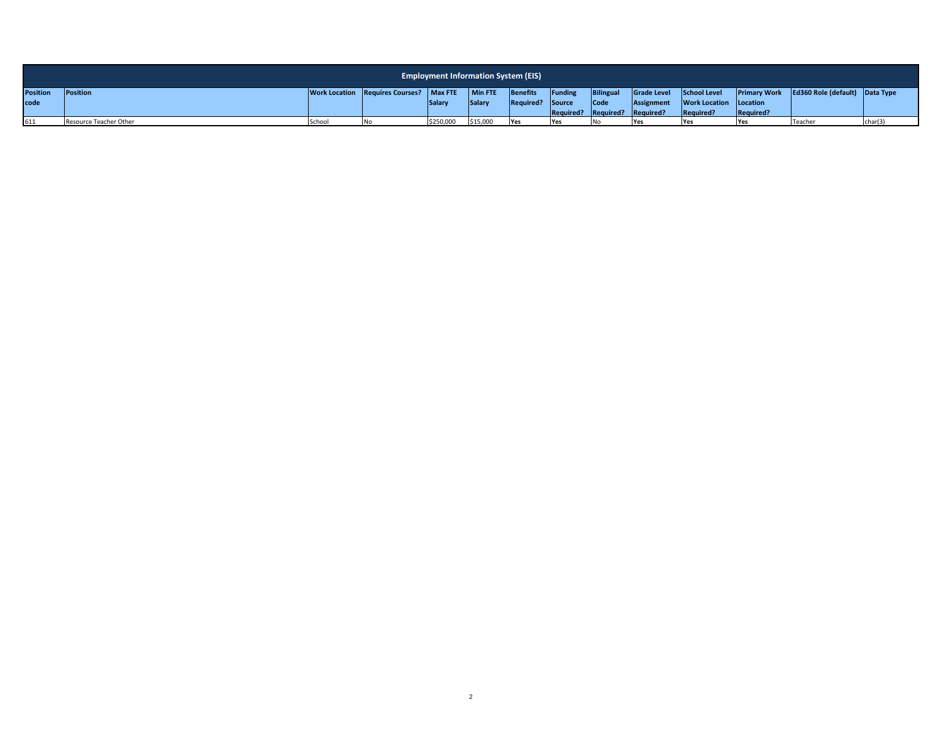|                 | <b>Employment Information System (EIS)</b> |       |                                         |           |          |                         |         |                               |             |                               |            |                                             |         |
|-----------------|--------------------------------------------|-------|-----------------------------------------|-----------|----------|-------------------------|---------|-------------------------------|-------------|-------------------------------|------------|---------------------------------------------|---------|
| <b>Position</b> | <b>Position</b>                            |       | Work Location Requires Courses? Max FTE |           | Min FTE  | <b>Benefits</b>         | Funding | <b>Bilingual</b>              | Grade Level | School Level                  |            | Primary Work Ed360 Role (default) Data Type |         |
| code            |                                            |       |                                         | Salar     | Salary   | <b>Required?</b> Source |         | Code                          | Assignment  | <b>Work Location Location</b> |            |                                             |         |
|                 |                                            |       |                                         |           |          |                         |         | Required? Required? Required? |             | Required?                     | Required?  |                                             |         |
| 611             | Resource Teacher Other                     | Schoo |                                         | \$250,000 | \$15,000 | Yes                     | Yes     |                               | . Yes       | <b>IYes</b>                   | <b>Yes</b> | Teacher                                     | char(2) |